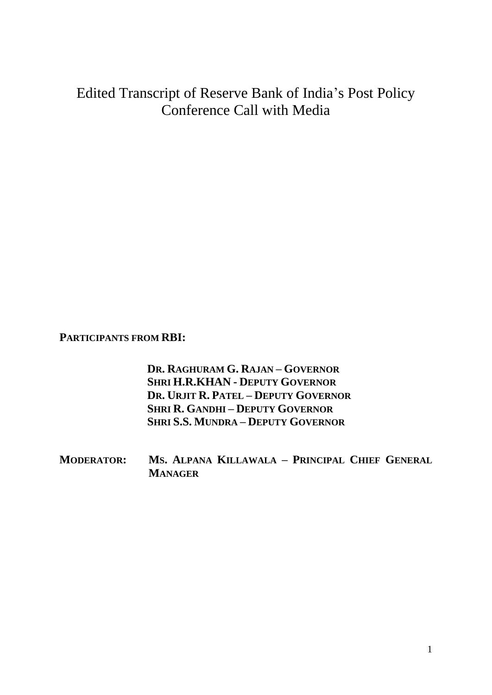## Edited Transcript of Reserve Bank of India's Post Policy Conference Call with Media

**PARTICIPANTS FROM RBI:**

**DR. RAGHURAM G. RAJAN – GOVERNOR SHRI H.R.KHAN - DEPUTY GOVERNOR DR. URJIT R. PATEL – DEPUTY GOVERNOR SHRI R. GANDHI – DEPUTY GOVERNOR SHRI S.S. MUNDRA – DEPUTY GOVERNOR**

**MODERATOR: MS. ALPANA KILLAWALA – PRINCIPAL CHIEF GENERAL MANAGER**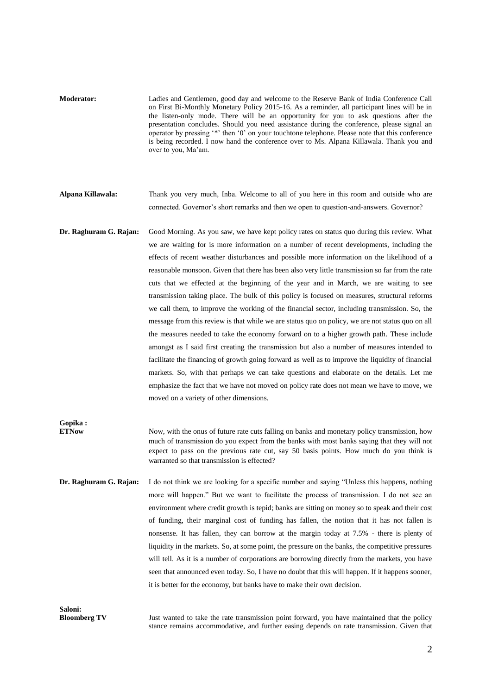**Moderator:** Ladies and Gentlemen, good day and welcome to the Reserve Bank of India Conference Call on First Bi-Monthly Monetary Policy 2015-16. As a reminder, all participant lines will be in the listen-only mode. There will be an opportunity for you to ask questions after the presentation concludes. Should you need assistance during the conference, please signal an operator by pressing '\*' then '0' on your touchtone telephone. Please note that this conference is being recorded. I now hand the conference over to Ms. Alpana Killawala. Thank you and over to you, Ma'am.

**Alpana Killawala:** Thank you very much, Inba. Welcome to all of you here in this room and outside who are connected. Governor's short remarks and then we open to question-and-answers. Governor?

**Dr. Raghuram G. Rajan:** Good Morning. As you saw, we have kept policy rates on status quo during this review. What we are waiting for is more information on a number of recent developments, including the effects of recent weather disturbances and possible more information on the likelihood of a reasonable monsoon. Given that there has been also very little transmission so far from the rate cuts that we effected at the beginning of the year and in March, we are waiting to see transmission taking place. The bulk of this policy is focused on measures, structural reforms we call them, to improve the working of the financial sector, including transmission. So, the message from this review is that while we are status quo on policy, we are not status quo on all the measures needed to take the economy forward on to a higher growth path. These include amongst as I said first creating the transmission but also a number of measures intended to facilitate the financing of growth going forward as well as to improve the liquidity of financial markets. So, with that perhaps we can take questions and elaborate on the details. Let me emphasize the fact that we have not moved on policy rate does not mean we have to move, we moved on a variety of other dimensions.

**Gopika :**

Now, with the onus of future rate cuts falling on banks and monetary policy transmission, how much of transmission do you expect from the banks with most banks saying that they will not expect to pass on the previous rate cut, say 50 basis points. How much do you think is warranted so that transmission is effected?

**Dr. Raghuram G. Rajan:** I do not think we are looking for a specific number and saying "Unless this happens, nothing more will happen." But we want to facilitate the process of transmission. I do not see an environment where credit growth is tepid; banks are sitting on money so to speak and their cost of funding, their marginal cost of funding has fallen, the notion that it has not fallen is nonsense. It has fallen, they can borrow at the margin today at 7.5% - there is plenty of liquidity in the markets. So, at some point, the pressure on the banks, the competitive pressures will tell. As it is a number of corporations are borrowing directly from the markets, you have seen that announced even today. So, I have no doubt that this will happen. If it happens sooner, it is better for the economy, but banks have to make their own decision.

**Saloni:**

**Bloomberg TV** Just wanted to take the rate transmission point forward, you have maintained that the policy stance remains accommodative, and further easing depends on rate transmission. Given that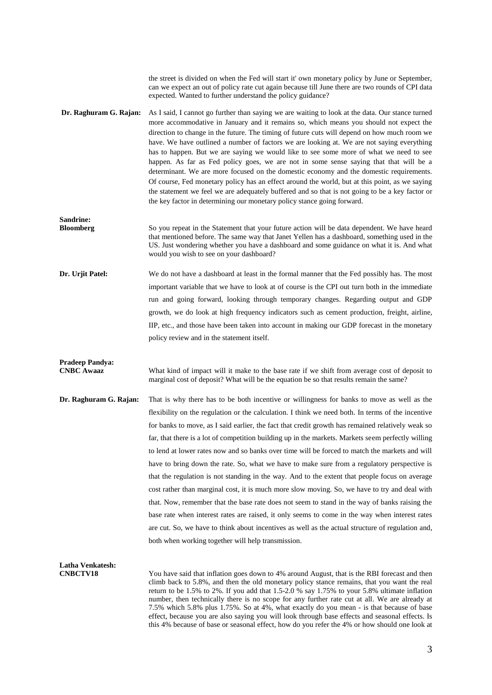the street is divided on when the Fed will start it' own monetary policy by June or September, can we expect an out of policy rate cut again because till June there are two rounds of CPI data expected. Wanted to further understand the policy guidance? **Dr. Raghuram G. Rajan:** As I said, I cannot go further than saying we are waiting to look at the data. Our stance turned more accommodative in January and it remains so, which means you should not expect the direction to change in the future. The timing of future cuts will depend on how much room we have. We have outlined a number of factors we are looking at. We are not saying everything has to happen. But we are saying we would like to see some more of what we need to see happen. As far as Fed policy goes, we are not in some sense saying that that will be a determinant. We are more focused on the domestic economy and the domestic requirements. Of course, Fed monetary policy has an effect around the world, but at this point, as we saying the statement we feel we are adequately buffered and so that is not going to be a key factor or the key factor in determining our monetary policy stance going forward. **Sandrine: Bloomberg** So you repeat in the Statement that your future action will be data dependent. We have heard that mentioned before. The same way that Janet Yellen has a dashboard, something used in the US. Just wondering whether you have a dashboard and some guidance on what it is. And what would you wish to see on your dashboard? **Dr. Urjit Patel:** We do not have a dashboard at least in the formal manner that the Fed possibly has. The most important variable that we have to look at of course is the CPI out turn both in the immediate run and going forward, looking through temporary changes. Regarding output and GDP growth, we do look at high frequency indicators such as cement production, freight, airline, IIP, etc., and those have been taken into account in making our GDP forecast in the monetary policy review and in the statement itself. **Pradeep Pandya:** What kind of impact will it make to the base rate if we shift from average cost of deposit to marginal cost of deposit? What will be the equation be so that results remain the same? **Dr. Raghuram G. Rajan:** That is why there has to be both incentive or willingness for banks to move as well as the flexibility on the regulation or the calculation. I think we need both. In terms of the incentive for banks to move, as I said earlier, the fact that credit growth has remained relatively weak so far, that there is a lot of competition building up in the markets. Markets seem perfectly willing to lend at lower rates now and so banks over time will be forced to match the markets and will have to bring down the rate. So, what we have to make sure from a regulatory perspective is that the regulation is not standing in the way. And to the extent that people focus on average cost rather than marginal cost, it is much more slow moving. So, we have to try and deal with that. Now, remember that the base rate does not seem to stand in the way of banks raising the base rate when interest rates are raised, it only seems to come in the way when interest rates are cut. So, we have to think about incentives as well as the actual structure of regulation and, both when working together will help transmission. **Latha Venkatesh: CNBCTV18** You have said that inflation goes down to 4% around August, that is the RBI forecast and then climb back to 5.8%, and then the old monetary policy stance remains, that you want the real return to be 1.5% to 2%. If you add that 1.5-2.0 % say 1.75% to your 5.8% ultimate inflation number, then technically there is no scope for any further rate cut at all. We are already at 7.5% which 5.8% plus 1.75%. So at 4%, what exactly do you mean - is that because of base effect, because you are also saying you will look through base effects and seasonal effects. Is this 4% because of base or seasonal effect, how do you refer the 4% or how should one look at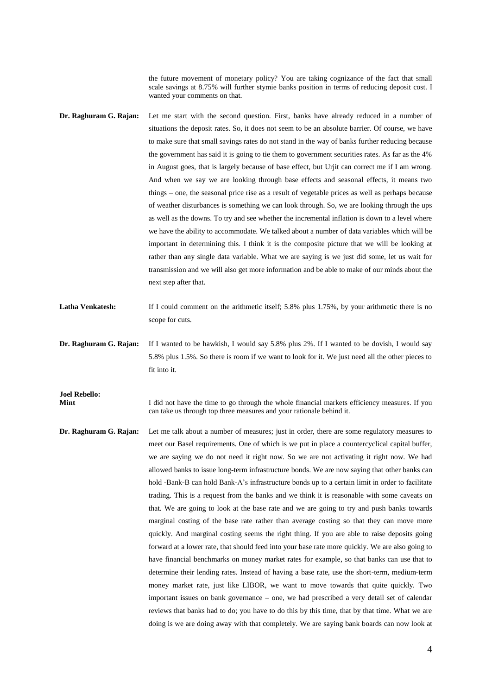the future movement of monetary policy? You are taking cognizance of the fact that small scale savings at 8.75% will further stymie banks position in terms of reducing deposit cost. I wanted your comments on that.

- **Dr. Raghuram G. Rajan:** Let me start with the second question. First, banks have already reduced in a number of situations the deposit rates. So, it does not seem to be an absolute barrier. Of course, we have to make sure that small savings rates do not stand in the way of banks further reducing because the government has said it is going to tie them to government securities rates. As far as the 4% in August goes, that is largely because of base effect, but Urjit can correct me if I am wrong. And when we say we are looking through base effects and seasonal effects, it means two things – one, the seasonal price rise as a result of vegetable prices as well as perhaps because of weather disturbances is something we can look through. So, we are looking through the ups as well as the downs. To try and see whether the incremental inflation is down to a level where we have the ability to accommodate. We talked about a number of data variables which will be important in determining this. I think it is the composite picture that we will be looking at rather than any single data variable. What we are saying is we just did some, let us wait for transmission and we will also get more information and be able to make of our minds about the next step after that.
- Latha Venkatesh: If I could comment on the arithmetic itself; 5.8% plus 1.75%, by your arithmetic there is no scope for cuts.
- **Dr. Raghuram G. Rajan:** If I wanted to be hawkish, I would say 5.8% plus 2%. If I wanted to be dovish, I would say 5.8% plus 1.5%. So there is room if we want to look for it. We just need all the other pieces to fit into it.

**Joel Rebello:**

**Mint** I did not have the time to go through the whole financial markets efficiency measures. If you can take us through top three measures and your rationale behind it.

**Dr. Raghuram G. Rajan:** Let me talk about a number of measures; just in order, there are some regulatory measures to meet our Basel requirements. One of which is we put in place a countercyclical capital buffer, we are saying we do not need it right now. So we are not activating it right now. We had allowed banks to issue long-term infrastructure bonds. We are now saying that other banks can hold -Bank-B can hold Bank-A's infrastructure bonds up to a certain limit in order to facilitate trading. This is a request from the banks and we think it is reasonable with some caveats on that. We are going to look at the base rate and we are going to try and push banks towards marginal costing of the base rate rather than average costing so that they can move more quickly. And marginal costing seems the right thing. If you are able to raise deposits going forward at a lower rate, that should feed into your base rate more quickly. We are also going to have financial benchmarks on money market rates for example, so that banks can use that to determine their lending rates. Instead of having a base rate, use the short-term, medium-term money market rate, just like LIBOR, we want to move towards that quite quickly. Two important issues on bank governance – one, we had prescribed a very detail set of calendar reviews that banks had to do; you have to do this by this time, that by that time. What we are doing is we are doing away with that completely. We are saying bank boards can now look at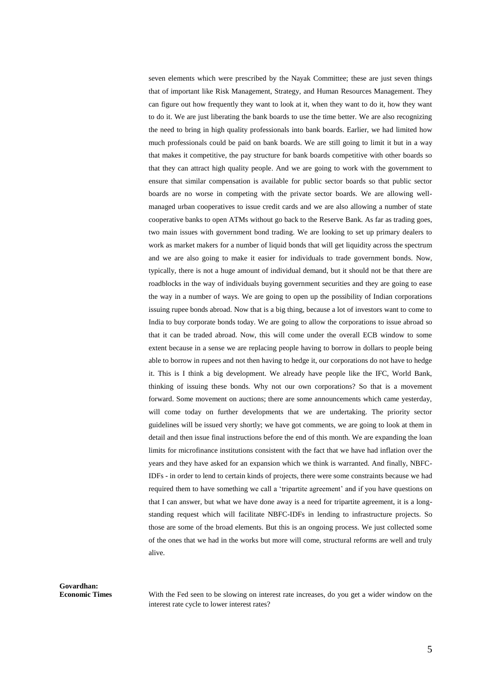seven elements which were prescribed by the Nayak Committee; these are just seven things that of important like Risk Management, Strategy, and Human Resources Management. They can figure out how frequently they want to look at it, when they want to do it, how they want to do it. We are just liberating the bank boards to use the time better. We are also recognizing the need to bring in high quality professionals into bank boards. Earlier, we had limited how much professionals could be paid on bank boards. We are still going to limit it but in a way that makes it competitive, the pay structure for bank boards competitive with other boards so that they can attract high quality people. And we are going to work with the government to ensure that similar compensation is available for public sector boards so that public sector boards are no worse in competing with the private sector boards. We are allowing wellmanaged urban cooperatives to issue credit cards and we are also allowing a number of state cooperative banks to open ATMs without go back to the Reserve Bank. As far as trading goes, two main issues with government bond trading. We are looking to set up primary dealers to work as market makers for a number of liquid bonds that will get liquidity across the spectrum and we are also going to make it easier for individuals to trade government bonds. Now, typically, there is not a huge amount of individual demand, but it should not be that there are roadblocks in the way of individuals buying government securities and they are going to ease the way in a number of ways. We are going to open up the possibility of Indian corporations issuing rupee bonds abroad. Now that is a big thing, because a lot of investors want to come to India to buy corporate bonds today. We are going to allow the corporations to issue abroad so that it can be traded abroad. Now, this will come under the overall ECB window to some extent because in a sense we are replacing people having to borrow in dollars to people being able to borrow in rupees and not then having to hedge it, our corporations do not have to hedge it. This is I think a big development. We already have people like the IFC, World Bank, thinking of issuing these bonds. Why not our own corporations? So that is a movement forward. Some movement on auctions; there are some announcements which came yesterday, will come today on further developments that we are undertaking. The priority sector guidelines will be issued very shortly; we have got comments, we are going to look at them in detail and then issue final instructions before the end of this month. We are expanding the loan limits for microfinance institutions consistent with the fact that we have had inflation over the years and they have asked for an expansion which we think is warranted. And finally, NBFC-IDFs - in order to lend to certain kinds of projects, there were some constraints because we had required them to have something we call a 'tripartite agreement' and if you have questions on that I can answer, but what we have done away is a need for tripartite agreement, it is a longstanding request which will facilitate NBFC-IDFs in lending to infrastructure projects. So those are some of the broad elements. But this is an ongoing process. We just collected some of the ones that we had in the works but more will come, structural reforms are well and truly alive.

**Govardhan:**

With the Fed seen to be slowing on interest rate increases, do you get a wider window on the interest rate cycle to lower interest rates?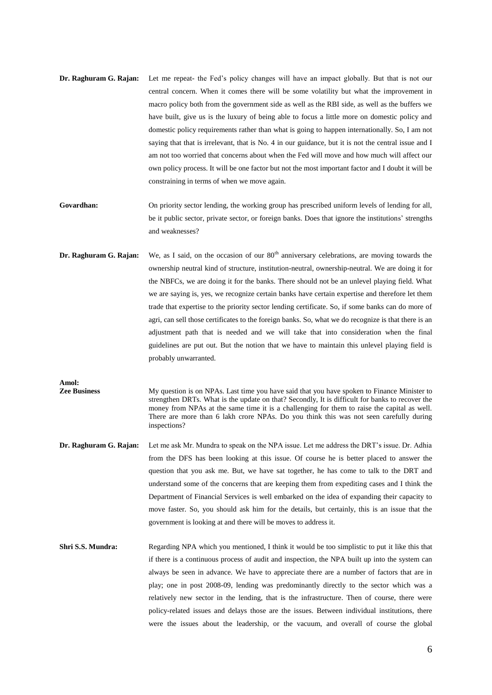- **Dr. Raghuram G. Rajan:** Let me repeat- the Fed's policy changes will have an impact globally. But that is not our central concern. When it comes there will be some volatility but what the improvement in macro policy both from the government side as well as the RBI side, as well as the buffers we have built, give us is the luxury of being able to focus a little more on domestic policy and domestic policy requirements rather than what is going to happen internationally. So, I am not saying that that is irrelevant, that is No. 4 in our guidance, but it is not the central issue and I am not too worried that concerns about when the Fed will move and how much will affect our own policy process. It will be one factor but not the most important factor and I doubt it will be constraining in terms of when we move again.
- Govardhan: On priority sector lending, the working group has prescribed uniform levels of lending for all, be it public sector, private sector, or foreign banks. Does that ignore the institutions' strengths and weaknesses?
- **Dr. Raghuram G. Rajan:** We, as I said, on the occasion of our 80<sup>th</sup> anniversary celebrations, are moving towards the ownership neutral kind of structure, institution-neutral, ownership-neutral. We are doing it for the NBFCs, we are doing it for the banks. There should not be an unlevel playing field. What we are saying is, yes, we recognize certain banks have certain expertise and therefore let them trade that expertise to the priority sector lending certificate. So, if some banks can do more of agri, can sell those certificates to the foreign banks. So, what we do recognize is that there is an adjustment path that is needed and we will take that into consideration when the final guidelines are put out. But the notion that we have to maintain this unlevel playing field is probably unwarranted.

**Amol:**

**Zee Business** My question is on NPAs. Last time you have said that you have spoken to Finance Minister to strengthen DRTs. What is the update on that? Secondly, It is difficult for banks to recover the money from NPAs at the same time it is a challenging for them to raise the capital as well. There are more than 6 lakh crore NPAs. Do you think this was not seen carefully during inspections?

- **Dr. Raghuram G. Rajan:** Let me ask Mr. Mundra to speak on the NPA issue. Let me address the DRT's issue. Dr. Adhia from the DFS has been looking at this issue. Of course he is better placed to answer the question that you ask me. But, we have sat together, he has come to talk to the DRT and understand some of the concerns that are keeping them from expediting cases and I think the Department of Financial Services is well embarked on the idea of expanding their capacity to move faster. So, you should ask him for the details, but certainly, this is an issue that the government is looking at and there will be moves to address it.
- **Shri S.S. Mundra:** Regarding NPA which you mentioned, I think it would be too simplistic to put it like this that if there is a continuous process of audit and inspection, the NPA built up into the system can always be seen in advance. We have to appreciate there are a number of factors that are in play; one in post 2008-09, lending was predominantly directly to the sector which was a relatively new sector in the lending, that is the infrastructure. Then of course, there were policy-related issues and delays those are the issues. Between individual institutions, there were the issues about the leadership, or the vacuum, and overall of course the global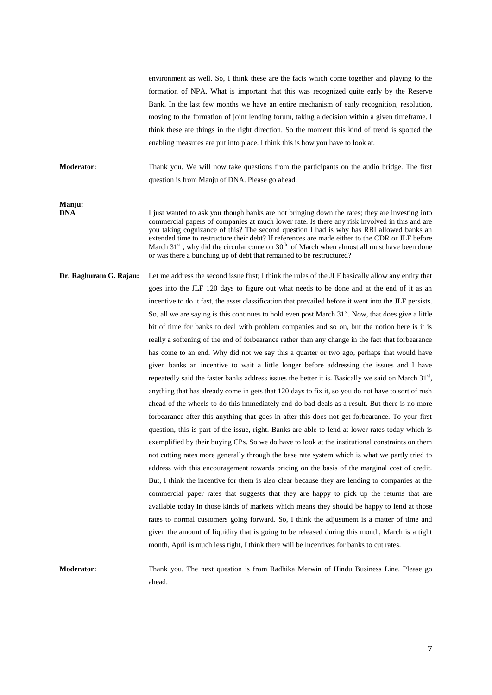environment as well. So, I think these are the facts which come together and playing to the formation of NPA. What is important that this was recognized quite early by the Reserve Bank. In the last few months we have an entire mechanism of early recognition, resolution, moving to the formation of joint lending forum, taking a decision within a given timeframe. I think these are things in the right direction. So the moment this kind of trend is spotted the enabling measures are put into place. I think this is how you have to look at.

**Moderator:** Thank you. We will now take questions from the participants on the audio bridge. The first question is from Manju of DNA. Please go ahead.

**Manju:**

I just wanted to ask you though banks are not bringing down the rates; they are investing into commercial papers of companies at much lower rate. Is there any risk involved in this and are you taking cognizance of this? The second question I had is why has RBI allowed banks an extended time to restructure their debt? If references are made either to the CDR or JLF before March  $31<sup>st</sup>$ , why did the circular come on  $30<sup>th</sup>$  of March when almost all must have been done or was there a bunching up of debt that remained to be restructured?

**Dr. Raghuram G. Rajan:** Let me address the second issue first; I think the rules of the JLF basically allow any entity that goes into the JLF 120 days to figure out what needs to be done and at the end of it as an incentive to do it fast, the asset classification that prevailed before it went into the JLF persists. So, all we are saying is this continues to hold even post March  $31<sup>st</sup>$ . Now, that does give a little bit of time for banks to deal with problem companies and so on, but the notion here is it is really a softening of the end of forbearance rather than any change in the fact that forbearance has come to an end. Why did not we say this a quarter or two ago, perhaps that would have given banks an incentive to wait a little longer before addressing the issues and I have repeatedly said the faster banks address issues the better it is. Basically we said on March  $31<sup>st</sup>$ , anything that has already come in gets that 120 days to fix it, so you do not have to sort of rush ahead of the wheels to do this immediately and do bad deals as a result. But there is no more forbearance after this anything that goes in after this does not get forbearance. To your first question, this is part of the issue, right. Banks are able to lend at lower rates today which is exemplified by their buying CPs. So we do have to look at the institutional constraints on them not cutting rates more generally through the base rate system which is what we partly tried to address with this encouragement towards pricing on the basis of the marginal cost of credit. But, I think the incentive for them is also clear because they are lending to companies at the commercial paper rates that suggests that they are happy to pick up the returns that are available today in those kinds of markets which means they should be happy to lend at those rates to normal customers going forward. So, I think the adjustment is a matter of time and given the amount of liquidity that is going to be released during this month, March is a tight month, April is much less tight, I think there will be incentives for banks to cut rates.

**Moderator:** Thank you. The next question is from Radhika Merwin of Hindu Business Line. Please go ahead.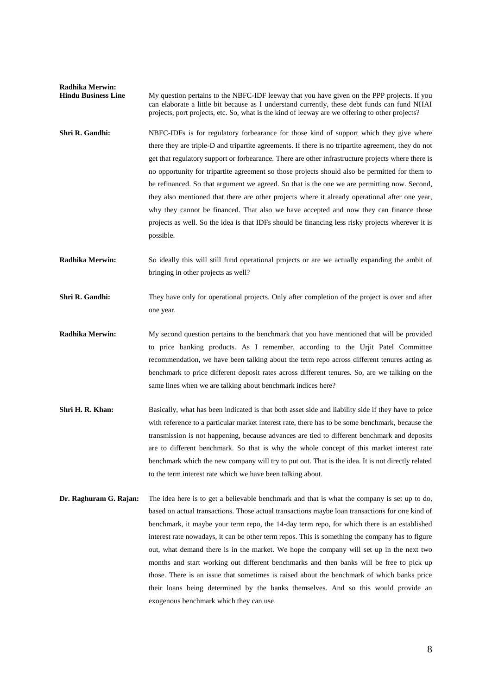| <b>Radhika Merwin:</b><br><b>Hindu Business Line</b> | My question pertains to the NBFC-IDF leeway that you have given on the PPP projects. If you<br>can elaborate a little bit because as I understand currently, these debt funds can fund NHAI<br>projects, port projects, etc. So, what is the kind of leeway are we offering to other projects?                                                                                                                                                                                                                                                                                                                                                                                                                                                                                                                           |
|------------------------------------------------------|--------------------------------------------------------------------------------------------------------------------------------------------------------------------------------------------------------------------------------------------------------------------------------------------------------------------------------------------------------------------------------------------------------------------------------------------------------------------------------------------------------------------------------------------------------------------------------------------------------------------------------------------------------------------------------------------------------------------------------------------------------------------------------------------------------------------------|
| Shri R. Gandhi:                                      | NBFC-IDFs is for regulatory forbearance for those kind of support which they give where<br>there they are triple-D and tripartite agreements. If there is no tripartite agreement, they do not<br>get that regulatory support or forbearance. There are other infrastructure projects where there is<br>no opportunity for tripartite agreement so those projects should also be permitted for them to<br>be refinanced. So that argument we agreed. So that is the one we are permitting now. Second,<br>they also mentioned that there are other projects where it already operational after one year,<br>why they cannot be financed. That also we have accepted and now they can finance those<br>projects as well. So the idea is that IDFs should be financing less risky projects wherever it is<br>possible.     |
| <b>Radhika Merwin:</b>                               | So ideally this will still fund operational projects or are we actually expanding the ambit of<br>bringing in other projects as well?                                                                                                                                                                                                                                                                                                                                                                                                                                                                                                                                                                                                                                                                                    |
| Shri R. Gandhi:                                      | They have only for operational projects. Only after completion of the project is over and after<br>one year.                                                                                                                                                                                                                                                                                                                                                                                                                                                                                                                                                                                                                                                                                                             |
| Radhika Merwin:                                      | My second question pertains to the benchmark that you have mentioned that will be provided<br>to price banking products. As I remember, according to the Urjit Patel Committee<br>recommendation, we have been talking about the term repo across different tenures acting as<br>benchmark to price different deposit rates across different tenures. So, are we talking on the<br>same lines when we are talking about benchmark indices here?                                                                                                                                                                                                                                                                                                                                                                          |
| Shri H. R. Khan:                                     | Basically, what has been indicated is that both asset side and liability side if they have to price<br>with reference to a particular market interest rate, there has to be some benchmark, because the<br>transmission is not happening, because advances are tied to different benchmark and deposits<br>are to different benchmark. So that is why the whole concept of this market interest rate<br>benchmark which the new company will try to put out. That is the idea. It is not directly related<br>to the term interest rate which we have been talking about.                                                                                                                                                                                                                                                 |
| Dr. Raghuram G. Rajan:                               | The idea here is to get a believable benchmark and that is what the company is set up to do,<br>based on actual transactions. Those actual transactions maybe loan transactions for one kind of<br>benchmark, it maybe your term repo, the 14-day term repo, for which there is an established<br>interest rate nowadays, it can be other term repos. This is something the company has to figure<br>out, what demand there is in the market. We hope the company will set up in the next two<br>months and start working out different benchmarks and then banks will be free to pick up<br>those. There is an issue that sometimes is raised about the benchmark of which banks price<br>their loans being determined by the banks themselves. And so this would provide an<br>exogenous benchmark which they can use. |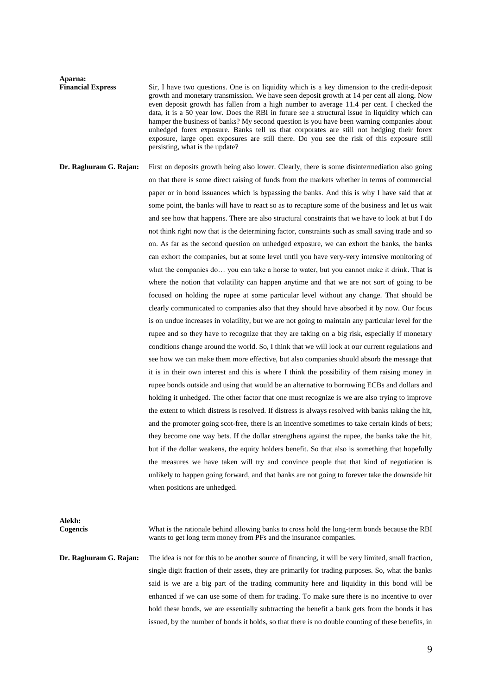**Aparna:**

**Financial Express** Sir, I have two questions. One is on liquidity which is a key dimension to the credit-deposit growth and monetary transmission. We have seen deposit growth at 14 per cent all along. Now even deposit growth has fallen from a high number to average 11.4 per cent. I checked the data, it is a 50 year low. Does the RBI in future see a structural issue in liquidity which can hamper the business of banks? My second question is you have been warning companies about unhedged forex exposure. Banks tell us that corporates are still not hedging their forex exposure, large open exposures are still there. Do you see the risk of this exposure still persisting, what is the update?

**Dr. Raghuram G. Rajan:** First on deposits growth being also lower. Clearly, there is some disintermediation also going on that there is some direct raising of funds from the markets whether in terms of commercial paper or in bond issuances which is bypassing the banks. And this is why I have said that at some point, the banks will have to react so as to recapture some of the business and let us wait and see how that happens. There are also structural constraints that we have to look at but I do not think right now that is the determining factor, constraints such as small saving trade and so on. As far as the second question on unhedged exposure, we can exhort the banks, the banks can exhort the companies, but at some level until you have very-very intensive monitoring of what the companies do... you can take a horse to water, but you cannot make it drink. That is where the notion that volatility can happen anytime and that we are not sort of going to be focused on holding the rupee at some particular level without any change. That should be clearly communicated to companies also that they should have absorbed it by now. Our focus is on undue increases in volatility, but we are not going to maintain any particular level for the rupee and so they have to recognize that they are taking on a big risk, especially if monetary conditions change around the world. So, I think that we will look at our current regulations and see how we can make them more effective, but also companies should absorb the message that it is in their own interest and this is where I think the possibility of them raising money in rupee bonds outside and using that would be an alternative to borrowing ECBs and dollars and holding it unhedged. The other factor that one must recognize is we are also trying to improve the extent to which distress is resolved. If distress is always resolved with banks taking the hit, and the promoter going scot-free, there is an incentive sometimes to take certain kinds of bets; they become one way bets. If the dollar strengthens against the rupee, the banks take the hit, but if the dollar weakens, the equity holders benefit. So that also is something that hopefully the measures we have taken will try and convince people that that kind of negotiation is unlikely to happen going forward, and that banks are not going to forever take the downside hit when positions are unhedged.

**Alekh:**

**Cogencis** What is the rationale behind allowing banks to cross hold the long-term bonds because the RBI wants to get long term money from PFs and the insurance companies.

**Dr. Raghuram G. Rajan:** The idea is not for this to be another source of financing, it will be very limited, small fraction, single digit fraction of their assets, they are primarily for trading purposes. So, what the banks said is we are a big part of the trading community here and liquidity in this bond will be enhanced if we can use some of them for trading. To make sure there is no incentive to over hold these bonds, we are essentially subtracting the benefit a bank gets from the bonds it has issued, by the number of bonds it holds, so that there is no double counting of these benefits, in